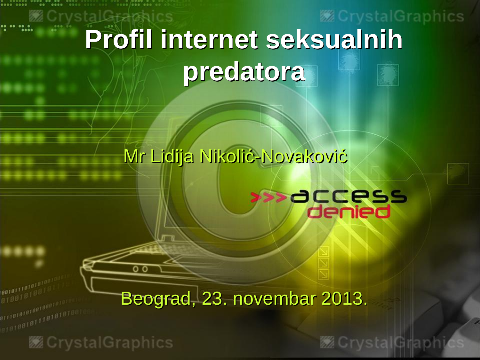. . . . .  $0000$ 

### **B**CrystalGraphics **Profil internet seksualnih predatora**

Mr Lidija Nikolić-Novaković



**B** CrystalGraph

Beograd, 23. novembar 2013.

01118181818888881818188188 **图 CrystalGraphics** 

 $\overline{\circ}$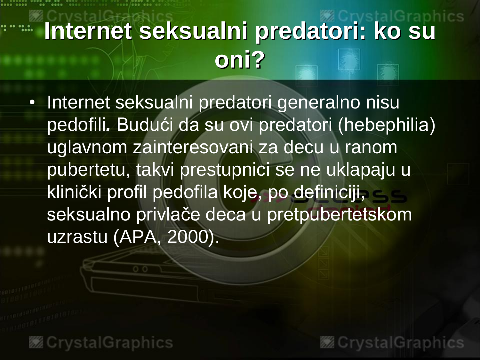## **Internet seksualni predatori: ko su oni?**

• Internet seksualni predatori generalno nisu pedofili*.* Budući da su ovi predatori (hebephilia) uglavnom zainteresovani za decu u ranom pubertetu, takvi prestupnici se ne uklapaju u klinički profil pedofila koje, po definiciji, seksualno privlače deca u pretpubertetskom uzrastu (APA, 2000).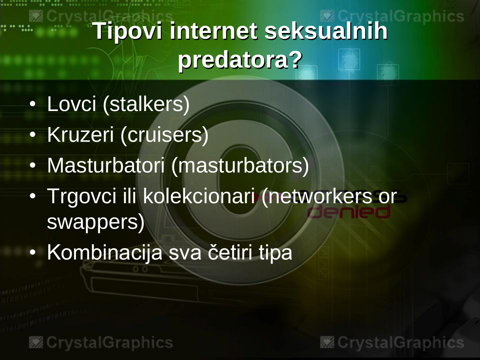**Tipovi internet seksualnih predatora?**

**8** CrystalGraphics

• Lovci (stalkers)

- Kruzeri (cruisers)
- Masturbatori (masturbators)
- Trgovci ili kolekcionari (networkers or swappers)
- Kombinacija sva četiri tipa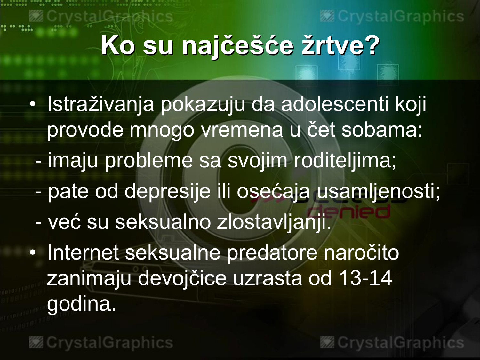#### **&CrystalGraphics**

# **Ko su najčešće žrtve?**

- Istraživanja pokazuju da adolescenti koji provode mnogo vremena u čet sobama:
	- imaju probleme sa svojim roditeljima;
	- pate od depresije ili osećaja usamljenosti;
	- već su seksualno zlostavljanji.
- Internet seksualne predatore naročito zanimaju devojčice uzrasta od 13-14 godina.

**Second** Crystal Graphics

**B** Crystal Graphics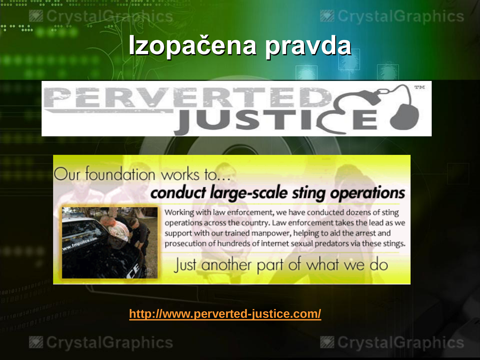**B**CrystalGraphics

## **Izopačena pravda**



#### Our foundation works to...

#### conduct large-scale sting operations



Working with law enforcement, we have conducted dozens of sting operations across the country. Law enforcement takes the lead as we support with our trained manpower, helping to aid the arrest and prosecution of hundreds of internet sexual predators via these stings.

Just another part of what we do

**<http://www.perverted-justice.com/>**

**Secondal Craphics**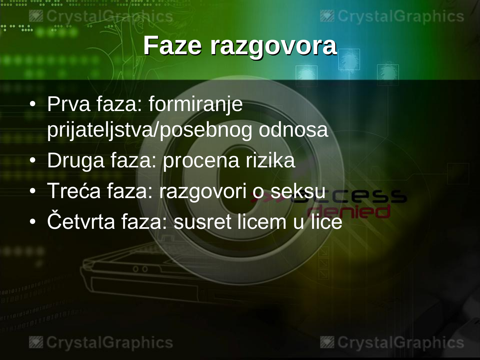#### **B**CrystalGraphics

### **Faze razgovora**

- Prva faza: formiranje prijateljstva/posebnog odnosa
- Druga faza: procena rizika
- Treća faza: razgovori o seksu
- Četvrta faza: susret licem u lice

00.00.00.0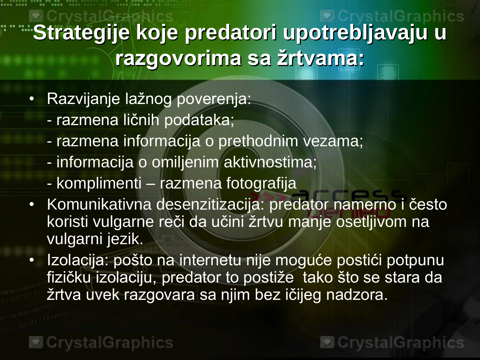**Strategije koje predatori upotrebljavaju u razgovorima sa žrtvama:**

- Razvijanje lažnog poverenja:
	- razmena ličnih podataka;
	- razmena informacija o prethodnim vezama;
	- informacija o omiljenim aktivnostima;
	- komplimenti razmena fotografija
- Komunikativna desenzitizacija: predator namerno i često koristi vulgarne reči da učini žrtvu manje osetljivom na vulgarni jezik.
- Izolacija: pošto na internetu nije moguće postići potpunu fizičku izolaciju, predator to postiže tako što se stara da žrtva uvek razgovara sa njim bez ičijeg nadzora.

**B** Crystal Graphics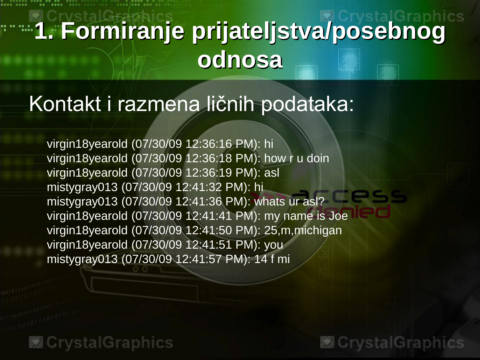### **1. Formiranje prijateljstva/posebnog odnosa**

### Kontakt i razmena ličnih podataka:

virgin18yearold (07/30/09 12:36:16 PM): hi virgin18yearold (07/30/09 12:36:18 PM): how r u doin virgin18yearold (07/30/09 12:36:19 PM): asl mistygray013 (07/30/09 12:41:32 PM): hi mistygray013 (07/30/09 12:41:36 PM): whats ur asl? virgin18yearold (07/30/09 12:41:41 PM): my name is Joe virgin18yearold (07/30/09 12:41:50 PM): 25,m,michigan virgin18yearold (07/30/09 12:41:51 PM): you mistygray013 (07/30/09 12:41:57 PM): 14 f mi

**Second** Crystal Graphics

**Second Craphics**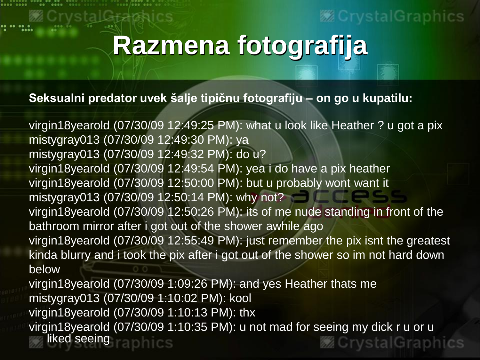### **Razmena fotografija**

**Seksualni predator uvek šalje tipičnu fotografiju – on go u kupatilu:**

virgin18yearold (07/30/09 12:49:25 PM): what u look like Heather ? u got a pix mistygray013 (07/30/09 12:49:30 PM): ya mistygray013 (07/30/09 12:49:32 PM): do u? virgin18yearold (07/30/09 12:49:54 PM): yea i do have a pix heather virgin18yearold (07/30/09 12:50:00 PM): but u probably wont want it mistygray013 (07/30/09 12:50:14 PM): why not? virgin18yearold (07/30/09 12:50:26 PM): its of me nude standing in front of the bathroom mirror after i got out of the shower awhile ago virgin18yearold (07/30/09 12:55:49 PM): just remember the pix isnt the greatest kinda blurry and i took the pix after i got out of the shower so im not hard down below virgin18yearold (07/30/09 1:09:26 PM): and yes Heather thats me mistygray013 (07/30/09 1:10:02 PM): kool virgin18yearold (07/30/09 1:10:13 PM): thx virgin18yearold (07/30/09 1:10:35 PM): u not mad for seeing my dick r u or u liked seeing vstalGraphics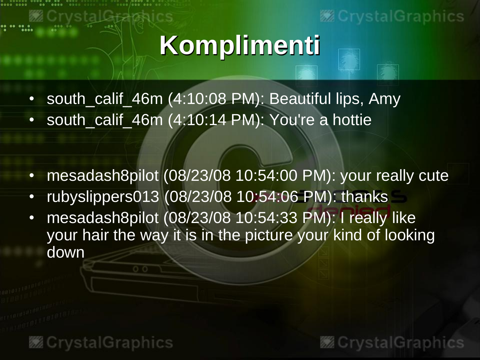## **Komplimenti**

• south\_calif\_46m (4:10:08 PM): Beautiful lips, Amy

• south\_calif\_46m (4:10:14 PM): You're a hottie

• mesadash8pilot (08/23/08 10:54:00 PM): your really cute

• rubyslippers013 (08/23/08 10:54:06 PM): thanks

• mesadash8pilot (08/23/08 10:54:33 PM): I really like your hair the way it is in the picture your kind of looking down



**B**CrystalGraphics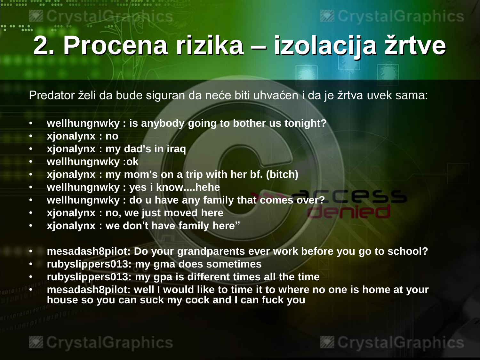**&CrystalGraphics** 

**B**CrystalGraphics

### **2. Procena rizika – izolacija žrtve**

Predator želi da bude siguran da neće biti uhvaćen i da je žrtva uvek sama:

- **wellhungnwky : is anybody going to bother us tonight?**
- **xjonalynx : no**
- **xjonalynx : my dad's in iraq**
- **wellhungnwky :ok**
- **xjonalynx : my mom's on a trip with her bf. (bitch)**
- **wellhungnwky : yes i know....hehe**
- **wellhungnwky : do u have any family that comes over?**
- **xjonalynx : no, we just moved here**
- **xjonalynx : we don't have family here"**
- **mesadash8pilot: Do your grandparents ever work before you go to school?**
- **rubyslippers013: my gma does sometimes**
- **rubyslippers013: my gpa is different times all the time**
- **mesadash8pilot: well I would like to time it to where no one is home at your house so you can suck my cock and I can fuck you**

#### **999 Crystal Graphics**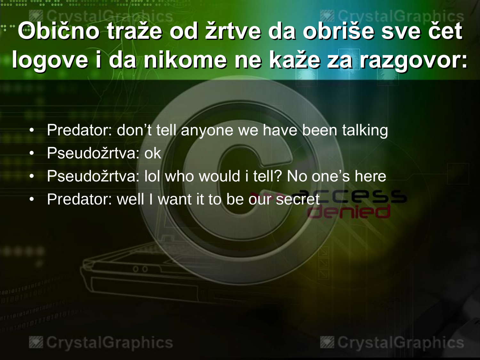## **Obično traže od žrtve da obriše sve čet logove i da nikome ne kaže za razgovor:**

- Predator: don't tell anyone we have been talking
- Pseudožrtva: ok
- Pseudožrtva: lol who would i tell? No one's here
- Predator: well I want it to be our secret

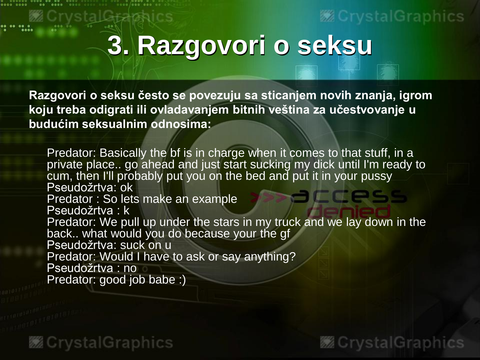#### **B**CrystalGraphics

**B** Crystal Graphics

### **3. Razgovori o seksu**

**Razgovori o seksu često se povezuju sa sticanjem novih znanja, igrom koju treba odigrati ili ovladavanjem bitnih veština za učestvovanje u budućim seksualnim odnosima:**

Predator: Basically the bf is in charge when it comes to that stuff, in a private place.. go ahead and just start sucking my dick until I'm ready to cum, then I'll probably put you on the bed and put it in your pussy Pseudožrtva: ok Predator : So lets make an example Pseudožrtva : k Predator: We pull up under the stars in my truck and we lay down in the back.. what would you do because your the gf Pseudožrtva: suck on u Predator: Would I have to ask or say anything? Pseudožrtva : no Predator: good job babe :)

**Second** Crystal Graphics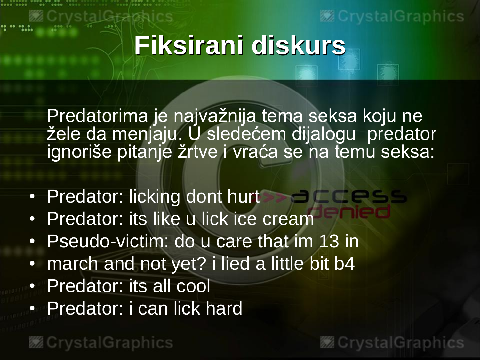**B** Crystal Graphics

## **Fiksirani diskurs**

Predatorima je najvažnija tema seksa koju ne žele da menjaju. U sledećem dijalogu predator ignoriše pitanje žrtve i vraća se na temu seksa:

- Predator: licking dont hurt
- Predator: its like u lick ice cream
- Pseudo-victim: do u care that im 13 in
- march and not yet? i lied a little bit b4
- Predator: its all cool
- Predator: i can lick hard

**Second** Crystal Graphics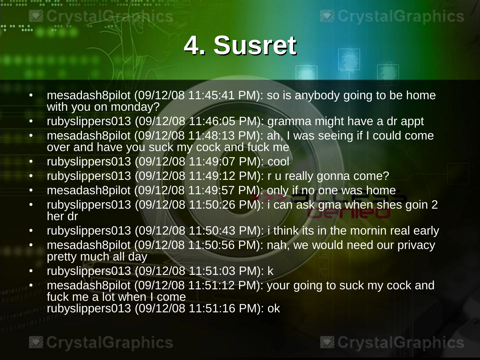### **4. Susret**

- mesadash8pilot (09/12/08 11:45:41 PM): so is anybody going to be home with you on monday?
- rubyslippers013 (09/12/08 11:46:05 PM): gramma might have a dr appt
- mesadash8pilot (09/12/08 11:48:13 PM): ah, I was seeing if I could come over and have you suck my cock and fuck me
- rubyslippers013 (09/12/08 11:49:07 PM): cool
- rubyslippers013 (09/12/08 11:49:12 PM): r u really gonna come?
- mesadash8pilot (09/12/08 11:49:57 PM): only if no one was home
- rubyslippers013 (09/12/08 11:50:26 PM): i can ask gma when shes goin 2 her dr
- rubyslippers013 (09/12/08 11:50:43 PM): i think its in the mornin real early
- mesadash8pilot (09/12/08 11:50:56 PM): nah, we would need our privacy pretty much all day
- rubyslippers013 (09/12/08 11:51:03 PM): k
- mesadash8pilot (09/12/08 11:51:12 PM): your going to suck my cock and fuck me a lot when I come rubyslippers013 (09/12/08 11:51:16 PM): ok

**Second** Crystal Graphics

 $000000000$ 

**B**CrystalGraphics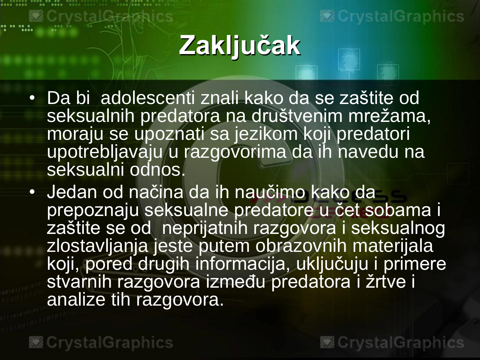### **Zaključak**

- Da bi adolescenti znali kako da se zaštite od seksualnih predatora na društvenim mrežama, moraju se upoznati sa jezikom koji predatori upotrebljavaju u razgovorima da ih navedu na seksualni odnos.
- Jedan od načina da ih naučimo kako da prepoznaju seksualne predatore u čet sobama i zaštite se od neprijatnih razgovora i seksualnog zlostavljanja jeste putem obrazovnih materijala koji, pored drugih informacija, uključuju i primere stvarnih razgovora između predatora i žrtve i analize tih razgovora.

**B** Crystal Graphics